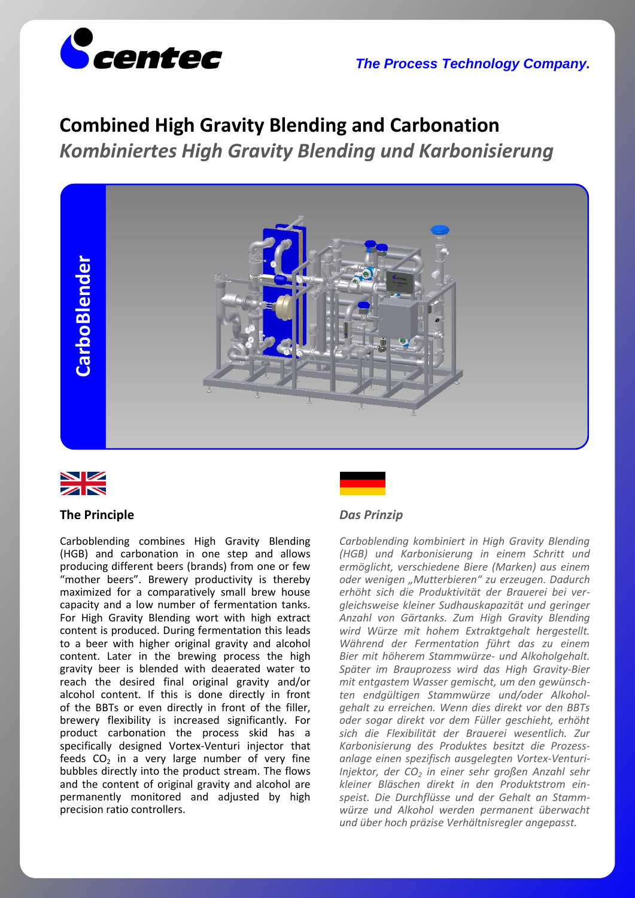



# **Combined High Gravity Blending and Carbonation** *Kombiniertes High Gravity Blending und Karbonisierung*





## **The Principle**

Carboblending combines High Gravity Blending (HGB) and carbonation in one step and allows producing different beers (brands) from one or few "mother beers". Brewery productivity is thereby maximized for a comparatively small brew house capacity and a low number of fermentation tanks. For High Gravity Blending wort with high extract content is produced. During fermentation this leads to a beer with higher original gravity and alcohol content. Later in the brewing process the high gravity beer is blended with deaerated water to reach the desired final original gravity and/or alcohol content. If this is done directly in front of the BBTs or even directly in front of the filler, brewery flexibility is increased significantly. For product carbonation the process skid has a specifically designed Vortex-Venturi injector that feeds  $CO<sub>2</sub>$  in a very large number of very fine bubbles directly into the product stream. The flows and the content of original gravity and alcohol are permanently monitored and adjusted by high precision ratio controllers.

## *Das Prinzip*

*Carboblending kombiniert in High Gravity Blending (HGB) und Karbonisierung in einem Schritt und ermöglicht, verschiedene Biere (Marken) aus einem oder wenigen "Mutterbieren" zu erzeugen. Dadurch erhöht sich die Produktivität der Brauerei bei vergleichsweise kleiner Sudhauskapazität und geringer Anzahl von Gärtanks. Zum High Gravity Blending wird Würze mit hohem Extraktgehalt hergestellt. Während der Fermentation führt das zu einem Bier mit höherem Stammwürze- und Alkoholgehalt. Später im Brauprozess wird das High Gravity-Bier mit entgastem Wasser gemischt, um den gewünschten endgültigen Stammwürze und/oder Alkoholgehalt zu erreichen. Wenn dies direkt vor den BBTs oder sogar direkt vor dem Füller geschieht, erhöht sich die Flexibilität der Brauerei wesentlich. Zur Karbonisierung des Produktes besitzt die Prozessanlage einen spezifisch ausgelegten Vortex-Venturi-Injektor, der CO<sup>2</sup> in einer sehr großen Anzahl sehr kleiner Bläschen direkt in den Produktstrom einspeist. Die Durchflüsse und der Gehalt an Stammwürze und Alkohol werden permanent überwacht und über hoch präzise Verhältnisregler angepasst.*